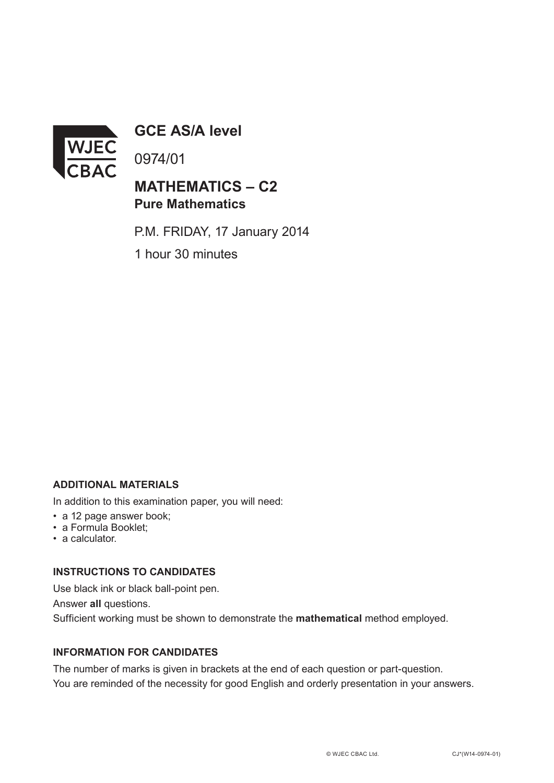

**GCE AS/A level**

0974/01

## **MATHEMATICS – C2 Pure Mathematics**

P.M. FRIDAY, 17 January 2014

1 hour 30 minutes

## **ADDITIONAL MATERIALS**

In addition to this examination paper, you will need:

- a 12 page answer book;
- a Formula Booklet;
- a calculator.

## **INSTRUCTIONS TO CANDIDATES**

Use black ink or black ball-point pen. Answer **all** questions. Sufficient working must be shown to demonstrate the **mathematical** method employed.

## **INFORMATION FOR CANDIDATES**

The number of marks is given in brackets at the end of each question or part-question. You are reminded of the necessity for good English and orderly presentation in your answers.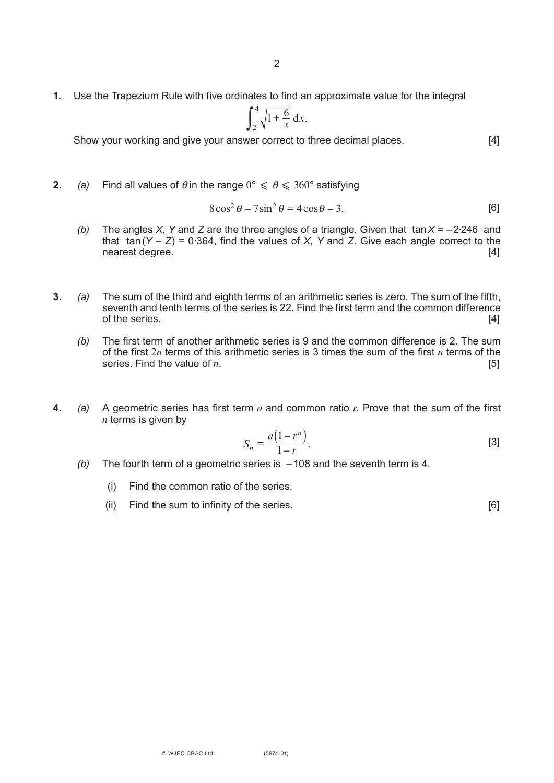**1.** Use the Trapezium Rule with five ordinates to find an approximate value for the integral

$$
\int_2^4 \sqrt{1 + \frac{6}{x}} \, \mathrm{d}x.
$$

Show your working and give your answer correct to three decimal places. [4]

**2.** *(a)* Find all values of  $\theta$  in the range  $0^{\circ} \le \theta \le 360^{\circ}$  satisfying

$$
8\cos^2\theta - 7\sin^2\theta = 4\cos\theta - 3.
$$
 [6]

- *(b)* The angles *X*, *Y* and *Z* are the three angles of a triangle. Given that tan*X* = –2·246 and that  $tan(Y - Z) = 0.364$ , find the values of *X*, *Y* and *Z*. Give each angle correct to the nearest degree. [4]
- **3.** *(a)* The sum of the third and eighth terms of an arithmetic series is zero. The sum of the fifth, seventh and tenth terms of the series is 22. Find the first term and the common difference of the series. [4]
	- *(b)* The first term of another arithmetic series is 9 and the common difference is 2. The sum of the first 2*n* terms of this arithmetic series is 3 times the sum of the first *n* terms of the series. Find the value of *n*.
- **4.** *(a)* A geometric series has first term *a* and common ratio *r*. Prove that the sum of the first *n* terms is given by

$$
S_n = \frac{a(1 - r^n)}{1 - r}.
$$

- *(b)* The fourth term of a geometric series is –108 and the seventh term is 4.
	- (i) Find the common ratio of the series.
	- (ii) Find the sum to infinity of the series. [6]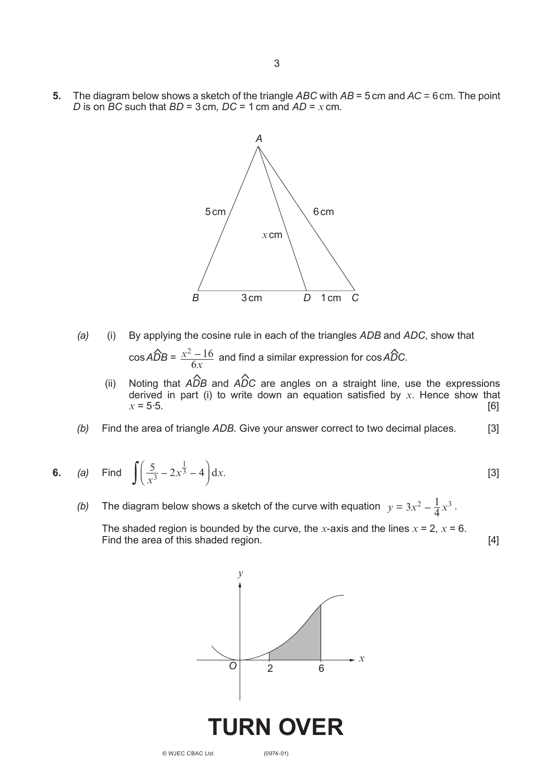**5.** The diagram below shows a sketch of the triangle *ABC* with *AB* = 5 cm and *AC* = 6cm*.* The point *D* is on  $\overline{BC}$  such that  $BD = 3$  cm,  $DC = 1$  cm and  $AD = x$  cm.



- *(a)* (i) By applying the cosine rule in each of the triangles *ADB* and *ADC*, show that  $\cos A\hat{D}B = \frac{x^2 - 16}{6}$  and find a similar expression for  $\cos A\hat{D}C$ . *x*  $^{2}-16$ 6  $\hat{D}B = \frac{x^2 - 16}{2}$  and find a similar expression for cos  $\hat{A} \hat{D}$
- (ii) Noting that *ADB* and *ADC* are angles on a straight line, use the expressions derived in part (i) to write down an equation satisfied by *x*. Hence show that  $x = 5.5$ . [6]  $\sum_{n=1}^{\infty}$ 
	- *(b)* Find the area of triangle *ADB*. Give your answer correct to two decimal places. [3]

**6.** (a) Find 
$$
\int \left(\frac{5}{x^3} - 2x^{\frac{1}{3}} - 4\right) dx
$$
. [3]

(b) The diagram below shows a sketch of the curve with equation  $y = 3x^2 - \frac{1}{4}x^3$ .  $x^2 - \frac{1}{4}x^3$ 

The shaded region is bounded by the curve, the *x*-axis and the lines  $x = 2$ ,  $x = 6$ . Find the area of this shaded region. The state of the shaded region.



© WJEC CBAC Ltd.

(0974-01)